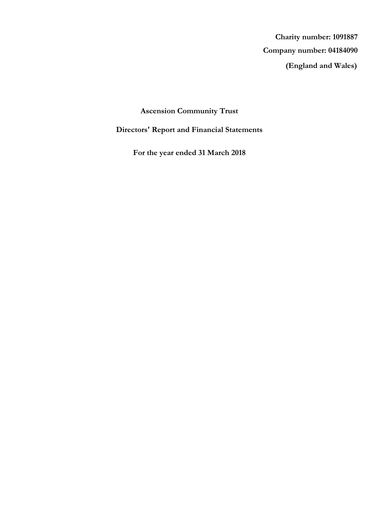**(England and Wales) Company number: 04184090 Charity number: 1091887**

# **Ascension Community Trust**

# **Directors' Report and Financial Statements**

**For the year ended 31 March 2018**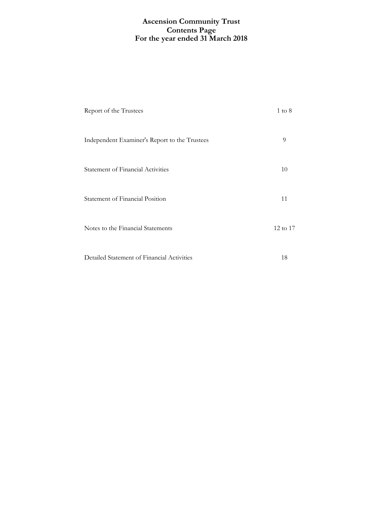## **For the year ended 31 March 2018 Ascension Community Trust Contents Page**

| Report of the Trustees                        | $1 \text{ to } 8$ |
|-----------------------------------------------|-------------------|
| Independent Examiner's Report to the Trustees | 9                 |
| <b>Statement of Financial Activities</b>      | 10                |
| Statement of Financial Position               | 11                |
| Notes to the Financial Statements             | 12 to 17          |
| Detailed Statement of Financial Activities    | 18                |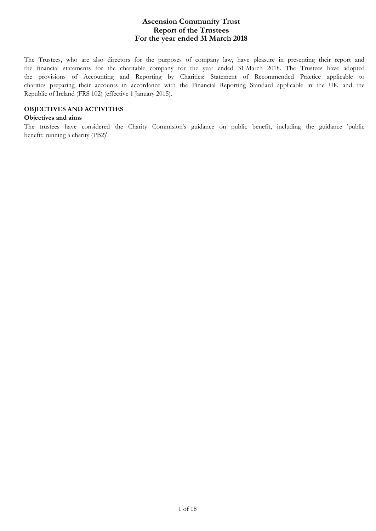The Trustees, who are also directors for the purposes of company law, have pleasure in presenting their report and the financial statements for the charitable company for the year ended 31 March 2018. The Trustees have adopted the provisions of Accounting and Reporting by Charities: Statement of Recommended Practice applicable to charities preparing their accounts in accordance with the Financial Reporting Standard applicable in the UK and the Republic of Ireland (FRS 102) (effective 1 January 2015).

### **OBJECTIVES AND ACTIVITIES**

#### **Objectives and aims**

The trustees have considered the Charity Commision's guidance on public benefit, including the guidance 'public benefit: running a charity (PB2)'.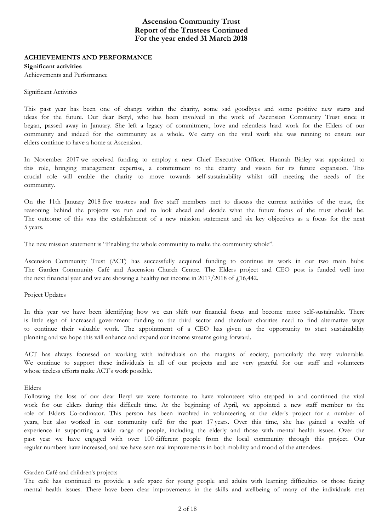### **ACHIEVEMENTS AND PERFORMANCE**

#### **Significant activities**

Achievements and Performance

#### Significant Activities

This past year has been one of change within the charity, some sad goodbyes and some positive new starts and ideas for the future. Our dear Beryl, who has been involved in the work of Ascension Community Trust since it began, passed away in January. She left a legacy of commitment, love and relentless hard work for the Elders of our community and indeed for the community as a whole. We carry on the vital work she was running to ensure our elders continue to have a home at Ascension.

In November 2017 we received funding to employ a new Chief Executive Officer. Hannah Binley was appointed to this role, bringing management expertise, a commitment to the charity and vision for its future expansion. This crucial role will enable the charity to move towards self-sustainability whilst still meeting the needs of the community.

On the 11th January 2018 five trustees and five staff members met to discuss the current activities of the trust, the reasoning behind the projects we run and to look ahead and decide what the future focus of the trust should be. The outcome of this was the establishment of a new mission statement and six key objectives as a focus for the next 5 years.

The new mission statement is "Enabling the whole community to make the community whole".

Ascension Community Trust (ACT) has successfully acquired funding to continue its work in our two main hubs: The Garden Community Café and Ascension Church Centre. The Elders project and CEO post is funded well into the next financial year and we are showing a healthy net income in  $2017/2018$  of  $f<sub>1</sub>16,442$ .

#### Project Updates

In this year we have been identifying how we can shift our financial focus and become more self-sustainable. There is little sign of increased government funding to the third sector and therefore charities need to find alternative ways to continue their valuable work. The appointment of a CEO has given us the opportunity to start sustainability planning and we hope this will enhance and expand our income streams going forward.

ACT has always focussed on working with individuals on the margins of society, particularly the very vulnerable. We continue to support these individuals in all of our projects and are very grateful for our staff and volunteers whose tireless efforts make ACT's work possible.

#### Elders

Following the loss of our dear Beryl we were fortunate to have volunteers who stepped in and continued the vital work for our elders during this difficult time. At the beginning of April, we appointed a new staff member to the role of Elders Co-ordinator. This person has been involved in volunteering at the elder's project for a number of years, but also worked in our community café for the past 17 years. Over this time, she has gained a wealth of experience in supporting a wide range of people, including the elderly and those with mental health issues. Over the past year we have engaged with over 100 different people from the local community through this project. Our regular numbers have increased, and we have seen real improvements in both mobility and mood of the attendees.

#### Garden Café and children's projects

The café has continued to provide a safe space for young people and adults with learning difficulties or those facing mental health issues. There have been clear improvements in the skills and wellbeing of many of the individuals met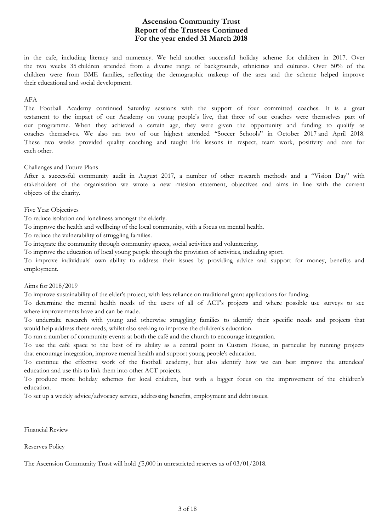in the cafe, including literacy and numeracy. We held another successful holiday scheme for children in 2017. Over the two weeks 35 children attended from a diverse range of backgrounds, ethnicities and cultures. Over 50% of the children were from BME families, reflecting the demographic makeup of the area and the scheme helped improve their educational and social development.

#### AFA

The Football Academy continued Saturday sessions with the support of four committed coaches. It is a great testament to the impact of our Academy on young people's live, that three of our coaches were themselves part of our programme. When they achieved a certain age, they were given the opportunity and funding to qualify as coaches themselves. We also ran two of our highest attended "Soccer Schools" in October 2017 and April 2018. These two weeks provided quality coaching and taught life lessons in respect, team work, positivity and care for each other.

### Challenges and Future Plans

After a successful community audit in August 2017, a number of other research methods and a "Vision Day" with stakeholders of the organisation we wrote a new mission statement, objectives and aims in line with the current objects of the charity.

### Five Year Objectives

To reduce isolation and loneliness amongst the elderly.

To improve the health and wellbeing of the local community, with a focus on mental health.

To reduce the vulnerability of struggling families.

To integrate the community through community spaces, social activities and volunteering.

To improve the education of local young people through the provision of activities, including sport.

To improve individuals' own ability to address their issues by providing advice and support for money, benefits and employment.

#### Aims for 2018/2019

To improve sustainability of the elder's project, with less reliance on traditional grant applications for funding.

To determine the mental health needs of the users of all of ACT's projects and where possible use surveys to see where improvements have and can be made.

To undertake research with young and otherwise struggling families to identify their specific needs and projects that would help address these needs, whilst also seeking to improve the children's education.

To run a number of community events at both the café and the church to encourage integration.

To use the café space to the best of its ability as a central point in Custom House, in particular by running projects that encourage integration, improve mental health and support young people's education.

To continue the effective work of the football academy, but also identify how we can best improve the attendees' education and use this to link them into other ACT projects.

To produce more holiday schemes for local children, but with a bigger focus on the improvement of the children's education.

To set up a weekly advice/advocacy service, addressing benefits, employment and debt issues.

Financial Review

Reserves Policy

The Ascension Community Trust will hold  $\dot{\epsilon}$ ,5,000 in unrestricted reserves as of 03/01/2018.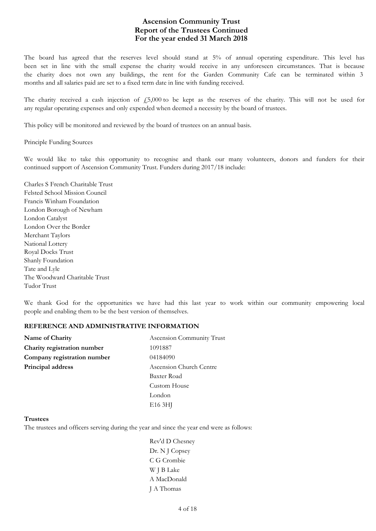The board has agreed that the reserves level should stand at 5% of annual operating expenditure. This level has been set in line with the small expense the charity would receive in any unforeseen circumstances. That is because the charity does not own any buildings, the rent for the Garden Community Cafe can be terminated within 3 months and all salaries paid are set to a fixed term date in line with funding received.

The charity received a cash injection of  $\dot{\psi}$  = 5,000 to be kept as the reserves of the charity. This will not be used for any regular operating expenses and only expended when deemed a necessity by the board of trustees.

This policy will be monitored and reviewed by the board of trustees on an annual basis.

Principle Funding Sources

We would like to take this opportunity to recognise and thank our many volunteers, donors and funders for their continued support of Ascension Community Trust. Funders during 2017/18 include:

Charles S French Charitable Trust Felsted School Mission Council Francis Winham Foundation London Borough of Newham London Catalyst London Over the Border Merchant Taylors National Lottery Royal Docks Trust Shanly Foundation Tate and Lyle The Woodward Charitable Trust Tudor Trust

We thank God for the opportunities we have had this last year to work within our community empowering local people and enabling them to be the best version of themselves.

#### **REFERENCE AND ADMINISTRATIVE INFORMATION**

| Name of Charity             | Ascension Community Trust |  |
|-----------------------------|---------------------------|--|
| Charity registration number | 1091887                   |  |
| Company registration number | 04184090                  |  |
| Principal address           | Ascension Church Centre   |  |
|                             | Baxter Road               |  |
|                             | Custom House              |  |
|                             | London                    |  |
|                             | E <sub>16</sub> 3HJ       |  |

#### **Trustees**

The trustees and officers serving during the year and since the year end were as follows:

Rev'd D Chesney Dr. N J Copsey C G Crombie W J B Lake A MacDonald J A Thomas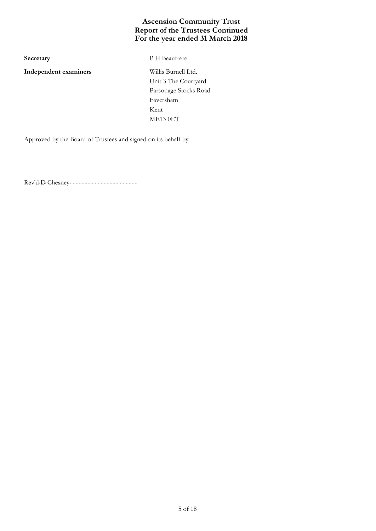**Independent examiners** Willis Burnell Ltd.

**Secretary** P H Beaufrere

Unit 3 The Courtyard Parsonage Stocks Road Faversham Kent ME13 0ET

Approved by the Board of Trustees and signed on its behalf by

............................................................................. Rev'd D Chesney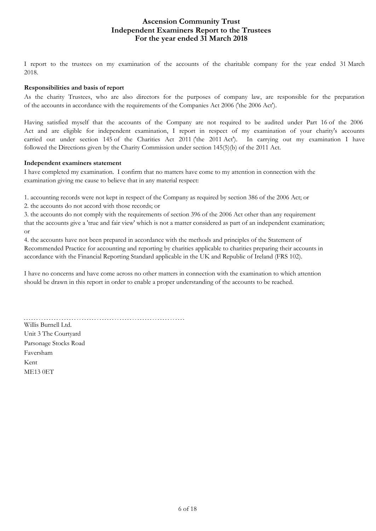## **For the year ended 31 March 2018 Ascension Community Trust Independent Examiners Report to the Trustees**

I report to the trustees on my examination of the accounts of the charitable company for the year ended 31 March 2018.

### **Responsibilities and basis of report**

As the charity Trustees, who are also directors for the purposes of company law, are responsible for the preparation of the accounts in accordance with the requirements of the Companies Act 2006 ('the 2006 Act').

Having satisfied myself that the accounts of the Company are not required to be audited under Part 16 of the 2006 Act and are eligible for independent examination, I report in respect of my examination of your charity's accounts carried out under section 145 of the Charities Act 2011 ('the 2011 Act'). In carrying out my examination I have followed the Directions given by the Charity Commission under section 145(5)(b) of the 2011 Act.

### **Independent examiners statement**

I have completed my examination. I confirm that no matters have come to my attention in connection with the examination giving me cause to believe that in any material respect:

1. accounting records were not kept in respect of the Company as required by section 386 of the 2006 Act; or

2. the accounts do not accord with those records; or

3. the accounts do not comply with the requirements of section 396 of the 2006 Act other than any requirement that the accounts give a 'true and fair view' which is not a matter considered as part of an independent examination; or

4. the accounts have not been prepared in accordance with the methods and principles of the Statement of Recommended Practice for accounting and reporting by charities applicable to charities preparing their accounts in accordance with the Financial Reporting Standard applicable in the UK and Republic of Ireland (FRS 102).

I have no concerns and have come across no other matters in connection with the examination to which attention should be drawn in this report in order to enable a proper understanding of the accounts to be reached.

Willis Burnell Ltd. Unit 3 The Courtyard Parsonage Stocks Road Faversham Kent ME13 0ET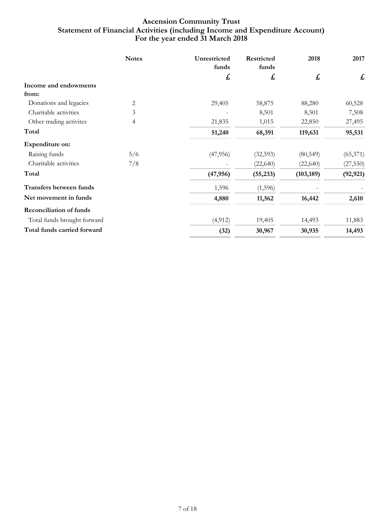# **For the year ended 31 March 2018 Ascension Community Trust Statement of Financial Activities (including Income and Expenditure Account)**

|                                | <b>Notes</b>   | Unrestricted<br>funds | Restricted<br>funds | 2018       | 2017      |
|--------------------------------|----------------|-----------------------|---------------------|------------|-----------|
|                                |                | £                     | £                   | £          | £         |
| Income and endowments          |                |                       |                     |            |           |
| from:                          |                |                       |                     |            |           |
| Donations and legacies         | $\overline{2}$ | 29,405                | 58,875              | 88,280     | 60,528    |
| Charitable activities          | 3              |                       | 8,501               | 8,501      | 7,508     |
| Other trading activites        | 4              | 21,835                | 1,015               | 22,850     | 27,495    |
| Total                          |                | 51,240                | 68,391              | 119,631    | 95,531    |
| Expenditure on:                |                |                       |                     |            |           |
| Raising funds                  | 5/6            | (47, 956)             | (32,593)            | (80, 549)  | (65, 371) |
| Charitable activities          | 7/8            |                       | (22,640)            | (22, 640)  | (27, 550) |
| Total                          |                | (47, 956)             | (55, 233)           | (103, 189) | (92, 921) |
| Transfers between funds        |                | 1,596                 | (1,596)             |            |           |
| Net movement in funds          |                | 4,880                 | 11,562              | 16,442     | 2,610     |
| <b>Reconciliation of funds</b> |                |                       |                     |            |           |
| Total funds brought forward    |                | (4, 912)              | 19,405              | 14,493     | 11,883    |
| Total funds carried forward    |                | (32)                  | 30,967              | 30,935     | 14,493    |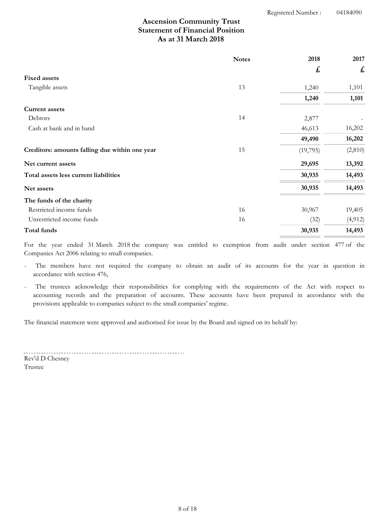# **As at 31 March 2018 Ascension Community Trust Statement of Financial Position**

|                                                | <b>Notes</b> | 2018                      | 2017     |
|------------------------------------------------|--------------|---------------------------|----------|
|                                                |              | $\boldsymbol{\mathit{f}}$ | £        |
| <b>Fixed assets</b>                            |              |                           |          |
| Tangible assets                                | 13           | 1,240                     | 1,101    |
|                                                |              | 1,240                     | 1,101    |
| <b>Current assets</b>                          |              |                           |          |
| Debtors                                        | 14           | 2,877                     |          |
| Cash at bank and in hand                       |              | 46,613                    | 16,202   |
|                                                |              | 49,490                    | 16,202   |
| Creditors: amounts falling due within one year | 15           | (19,795)                  | (2,810)  |
| Net current assets                             |              | 29,695                    | 13,392   |
| Total assets less current liabilities          |              | 30,935                    | 14,493   |
| Net assets                                     |              | 30,935                    | 14,493   |
| The funds of the charity                       |              |                           |          |
| Restricted income funds                        | 16           | 30,967                    | 19,405   |
| Unrestricted income funds                      | 16           | (32)                      | (4, 912) |
| Total funds                                    |              | 30,935                    | 14,493   |

For the year ended 31 March 2018 the company was entitled to exemption from audit under section 477 of the Companies Act 2006 relating to small companies.

The members have not required the company to obtain an audit of its accounts for the year in question in accordance with section 476,

The trustees acknowledge their responsibilities for complying with the requirements of the Act with respect to accounting records and the preparation of accounts. These accounts have been prepared in accordance with the provisions applicable to companies subject to the small companies' regime.

The financial statement were approved and authorised for issue by the Board and signed on its behalf by:

Rev'd D Chesney

Trustee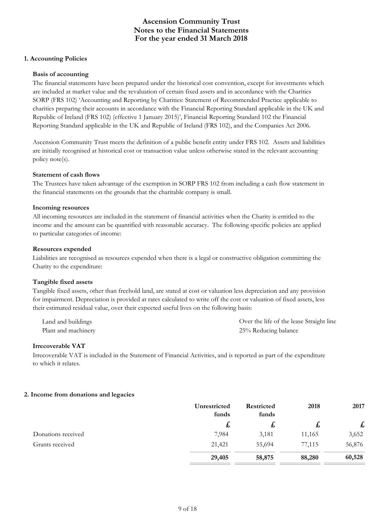### **1. Accounting Policies**

### **Basis of accounting**

The financial statements have been prepared under the historical cost convention, except for investments which are included at market value and the revaluation of certain fixed assets and in accordance with the Charities SORP (FRS 102) 'Accounting and Reporting by Charities: Statement of Recommended Practice applicable to charities preparing their accounts in accordance with the Financial Reporting Standard applicable in the UK and Republic of Ireland (FRS 102) (effective 1 January 2015)', Financial Reporting Standard 102 the Financial Reporting Standard applicable in the UK and Republic of Ireland (FRS 102), and the Companies Act 2006.

Ascension Community Trust meets the definition of a public benefit entity under FRS 102. Assets and liabilities are initially recognised at historical cost or transaction value unless otherwise stated in the relevant accounting policy note(s).

#### **Statement of cash flows**

The Trustees have taken advantage of the exemption in SORP FRS 102 from including a cash flow statement in the financial statements on the grounds that the charitable company is small.

#### **Incoming resources**

All incoming resources are included in the statement of financial activities when the Charity is entitled to the income and the amount can be quantified with reasonable accuracy. The following specific policies are applied to particular categories of income:

### **Resources expended**

Liabilities are recognised as resources expended when there is a legal or constructive obligation committing the Charity to the expenditure:

### **Tangible fixed assets**

Tangible fixed assets, other than freehold land, are stated at cost or valuation less depreciation and any provision for impairment. Depreciation is provided at rates calculated to write off the cost or valuation of fixed assets, less their estimated residual value, over their expected useful lives on the following basis:

| Land and buildings  | Over the life of the lease Straight line |
|---------------------|------------------------------------------|
| Plant and machinery | 25% Reducing balance                     |

#### **Irrecoverable VAT**

Irrecoverable VAT is included in the Statement of Financial Activities, and is reported as part of the expenditure to which it relates.

### **2. Income from donations and legacies**

|                    | Unrestricted<br>funds | <b>Restricted</b><br>funds | 2018   | 2017   |
|--------------------|-----------------------|----------------------------|--------|--------|
|                    | 圡                     | ょ                          | た      | £      |
| Donations received | 7,984                 | 3,181                      | 11,165 | 3,652  |
| Grants received    | 21,421                | 55,694                     | 77,115 | 56,876 |
|                    | 29,405                | 58,875                     | 88,280 | 60,528 |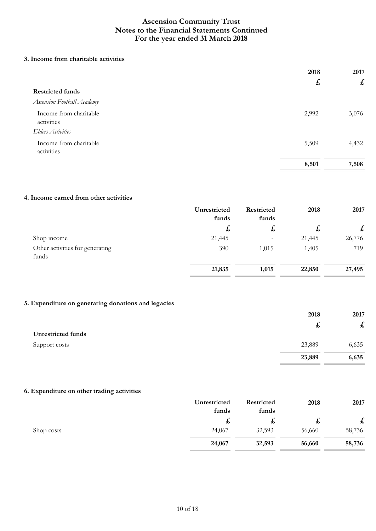### **3. Income from charitable activities**

|                                      | 2018<br>$\mathbf{f}$ | 2017<br>$\boldsymbol{\mathit{f}}$ |
|--------------------------------------|----------------------|-----------------------------------|
|                                      |                      |                                   |
| <b>Restricted funds</b>              |                      |                                   |
| Ascension Football Academy           |                      |                                   |
| Income from charitable<br>activities | 2,992                | 3,076                             |
| <b>Elders Activities</b>             |                      |                                   |
| Income from charitable<br>activities | 5,509                | 4,432                             |
|                                      | 8,501                | 7,508                             |

### **4. Income earned from other activities**

|                                          | Unrestricted<br>funds | Restricted<br>funds | 2018   | 2017                      |
|------------------------------------------|-----------------------|---------------------|--------|---------------------------|
|                                          | $\mathbf{f}$          | ょ                   | ゎ      | $\boldsymbol{\mathsf{f}}$ |
| Shop income                              | 21,445                | $\qquad \qquad -$   | 21,445 | 26,776                    |
| Other activities for generating<br>funds | 390                   | 1,015               | 1,405  | 719                       |
|                                          | 21,835                | 1,015               | 22,850 | 27,495                    |

## **5. Expenditure on generating donations and legacies**

|                           | 2018   | 2017               |
|---------------------------|--------|--------------------|
|                           | ゎ      | $\pmb{\mathit{f}}$ |
| <b>Unrestricted funds</b> |        |                    |
| Support costs             | 23,889 | 6,635              |
|                           | 23,889 | 6,635              |

### **6. Expenditure on other trading activities**

|            | Unrestricted | Restricted | 2018   | 2017         |
|------------|--------------|------------|--------|--------------|
|            | funds        | funds      |        |              |
|            | た            | た          | ょ      | $\mathbf{f}$ |
| Shop costs | 24,067       | 32,593     | 56,660 | 58,736       |
|            | 24,067       | 32,593     | 56,660 | 58,736       |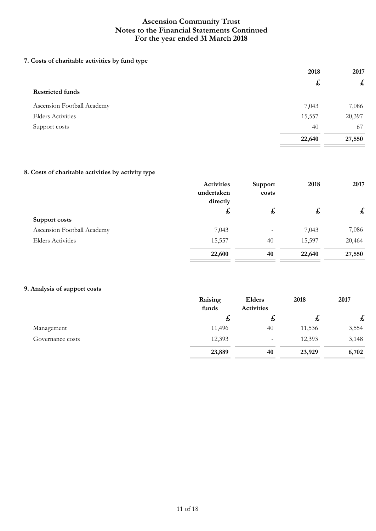# **7. Costs of charitable activities by fund type**

|                            | 2018   | 2017              |  |
|----------------------------|--------|-------------------|--|
|                            | £      | $f_{\mathcal{L}}$ |  |
| <b>Restricted funds</b>    |        |                   |  |
| Ascension Football Academy | 7,043  | 7,086             |  |
| <b>Elders Activities</b>   | 15,557 | 20,397            |  |
| Support costs              | 40     | 67                |  |
|                            | 22,640 | 27,550            |  |

## **8. Costs of charitable activities by activity type**

|                            | <b>Activities</b>      | Support           | 2018         | 2017   |
|----------------------------|------------------------|-------------------|--------------|--------|
|                            | undertaken<br>directly | costs             |              |        |
|                            | £                      | £,                | $\mathbf{t}$ | £      |
| Support costs              |                        |                   |              |        |
| Ascension Football Academy | 7,043                  | $\qquad \qquad -$ | 7,043        | 7,086  |
| <b>Elders Activities</b>   | 15,557                 | 40                | 15,597       | 20,464 |
|                            | 22,600                 | 40                | 22,640       | 27,550 |
|                            |                        |                   |              |        |

## **9. Analysis of support costs**

|                  | Raising<br>funds | Elders<br>Activities | 2018   | 2017  |
|------------------|------------------|----------------------|--------|-------|
|                  | ょ                | ょ                    | ょ      | £     |
| Management       | 11,496           | 40                   | 11,536 | 3,554 |
| Governance costs | 12,393           | $\qquad \qquad -$    | 12,393 | 3,148 |
|                  | 23,889           | 40                   | 23,929 | 6,702 |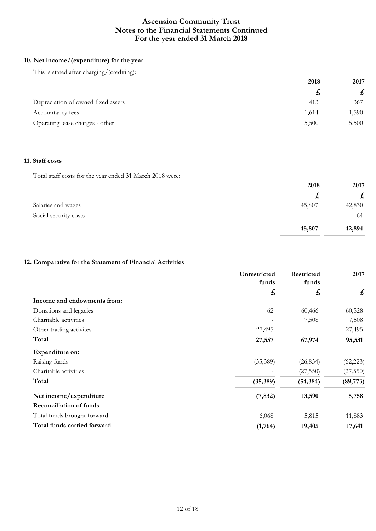## **10. Net income/(expenditure) for the year**

This is stated after charging/(crediting):

|                                    | 2018  | 2017  |
|------------------------------------|-------|-------|
|                                    | £,    | £     |
| Depreciation of owned fixed assets | 413   | 367   |
| Accountancy fees                   | 1,614 | 1,590 |
| Operating lease charges - other    | 5,500 | 5,500 |

## **11. Staff costs**

Total staff costs for the year ended 31 March 2018 were:

| 2018   | 2017         |
|--------|--------------|
| £,     | $\mathbf{f}$ |
| 45,807 | 42,830       |
|        | 64           |
| 45,807 | 42,894       |
|        |              |

# **12. Comparative for the Statement of Financial Activities**

|                                | Unrestricted | Restricted | 2017      |
|--------------------------------|--------------|------------|-----------|
|                                | funds<br>£   | funds<br>£ | £         |
| Income and endowments from:    |              |            |           |
| Donations and legacies         | 62           | 60,466     | 60,528    |
| Charitable activities          |              | 7,508      | 7,508     |
| Other trading activites        | 27,495       |            | 27,495    |
| Total                          | 27,557       | 67,974     | 95,531    |
| <b>Expenditure on:</b>         |              |            |           |
| Raising funds                  | (35, 389)    | (26, 834)  | (62, 223) |
| Charitable activities          |              | (27, 550)  | (27, 550) |
| Total                          | (35,389)     | (54, 384)  | (89,773)  |
| Net income/expenditure         | (7, 832)     | 13,590     | 5,758     |
| <b>Reconciliation of funds</b> |              |            |           |
| Total funds brought forward    | 6,068        | 5,815      | 11,883    |
| Total funds carried forward    | (1,764)      | 19,405     | 17,641    |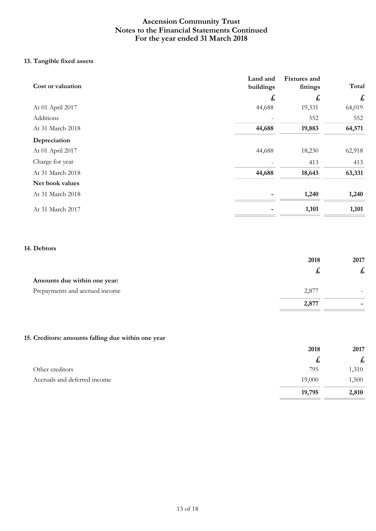# **13. Tangible fixed assets**

| Cost or valuation | Land and<br>buildings | <b>Fixtures</b> and<br>fittings | Total  |
|-------------------|-----------------------|---------------------------------|--------|
|                   | £                     | £                               | £      |
| At 01 April 2017  | 44,688                | 19,331                          | 64,019 |
| Additions         |                       | 552                             | 552    |
| At 31 March 2018  | 44,688                | 19,883                          | 64,571 |
| Depreciation      |                       |                                 |        |
| At 01 April 2017  | 44,688                | 18,230                          | 62,918 |
| Charge for year   |                       | 413                             | 413    |
| At 31 March 2018  | 44,688                | 18,643                          | 63,331 |
| Net book values   |                       |                                 |        |
| At 31 March 2018  |                       | 1,240                           | 1,240  |
| At 31 March 2017  |                       | 1,101                           | 1,101  |

### **14. Debtors**

|                                | 2018  | 2017 |
|--------------------------------|-------|------|
|                                | 圥     | た    |
| Amounts due within one year:   |       |      |
| Prepayments and accrued income | 2,877 |      |
|                                | 2,877 | -    |

# **15. Creditors: amounts falling due within one year**

|                              | 2018   | 2017              |
|------------------------------|--------|-------------------|
|                              | た      | $f_{\mathcal{L}}$ |
| Other creditors              | 795    | 1,310             |
| Accruals and deferred income | 19,000 | 1,500             |
|                              | 19,795 | 2,810             |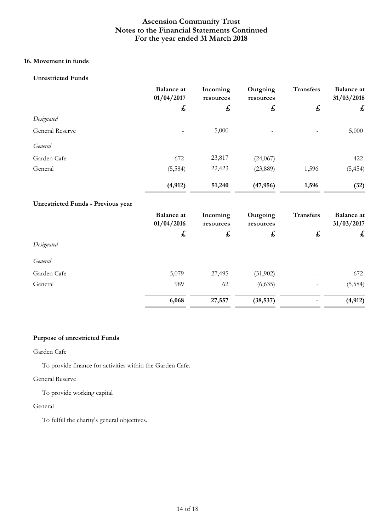# **16. Movement in funds**

### **Unrestricted Funds**

|                                           | <b>Balance</b> at<br>01/04/2017 | Incoming<br>resources | Outgoing<br>resources | <b>Transfers</b> | <b>Balance</b> at<br>31/03/2018 |
|-------------------------------------------|---------------------------------|-----------------------|-----------------------|------------------|---------------------------------|
|                                           | £                               | £                     | £                     | £                | £                               |
| Designated                                |                                 |                       |                       |                  |                                 |
| General Reserve                           |                                 | 5,000                 |                       |                  | 5,000                           |
| General                                   |                                 |                       |                       |                  |                                 |
| Garden Cafe                               | 672                             | 23,817                | (24,067)              |                  | 422                             |
| General                                   | (5, 584)                        | 22,423                | (23,889)              | 1,596            | (5, 454)                        |
|                                           | (4, 912)                        | 51,240                | (47, 956)             | 1,596            | (32)                            |
| <b>Unrestricted Funds - Previous year</b> |                                 |                       |                       |                  |                                 |
|                                           | <b>Balance</b> at<br>01/04/2016 | Incoming<br>resources | Outgoing<br>resources | <b>Transfers</b> | <b>Balance</b> at<br>31/03/2017 |
|                                           | £                               | £                     | £                     | £                | £                               |
| Designated                                |                                 |                       |                       |                  |                                 |
| General                                   |                                 |                       |                       |                  |                                 |
| Garden Cafe                               | 5,079                           | 27,495                | (31,902)              |                  | 672                             |
| General                                   | 989                             | 62                    | (6,635)               |                  | (5, 584)                        |
|                                           | 6,068                           | 27,557                | (38, 537)             |                  | (4, 912)                        |

## **Purpose of unrestricted Funds**

### Garden Cafe

To provide finance for activities within the Garden Cafe.

### General Reserve

To provide working capital

### General

To fulfill the charity's general objectives.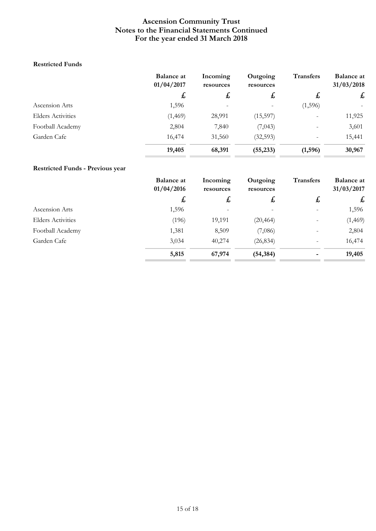### **Restricted Funds**

|                          | <b>Balance at</b><br>01/04/2017 | Incoming<br>resources | Outgoing<br>resources | <b>Transfers</b>  | <b>Balance at</b><br>31/03/2018 |
|--------------------------|---------------------------------|-----------------------|-----------------------|-------------------|---------------------------------|
|                          | £,                              | £,                    | £,                    | $\mathbf{t}$      | $\mathbf{f}$                    |
| Ascension Arts           | 1,596                           |                       |                       | (1, 596)          |                                 |
| <b>Elders Activities</b> | (1, 469)                        | 28,991                | (15, 597)             |                   | 11,925                          |
| Football Academy         | 2,804                           | 7,840                 | (7,043)               |                   | 3,601                           |
| Garden Cafe              | 16,474                          | 31,560                | (32,593)              | $\qquad \qquad -$ | 15,441                          |
|                          | 19,405                          | 68,391                | (55, 233)             | (1,596)           | 30,967                          |

# **Restricted Funds - Previous year**

|                          | <b>Balance at</b><br>01/04/2016 | Incoming<br>resources | Outgoing<br>resources | <b>Transfers</b> | <b>Balance at</b><br>31/03/2017 |
|--------------------------|---------------------------------|-----------------------|-----------------------|------------------|---------------------------------|
|                          | $\mathbf{f}$                    | £                     | $\mathbf{t}$          | £                | $\pounds$                       |
| Ascension Arts           | 1,596                           |                       |                       |                  | 1,596                           |
| <b>Elders Activities</b> | (196)                           | 19,191                | (20, 464)             |                  | (1, 469)                        |
| Football Academy         | 1,381                           | 8,509                 | (7,086)               |                  | 2,804                           |
| Garden Cafe              | 3,034                           | 40,274                | (26, 834)             |                  | 16,474                          |
|                          | 5,815                           | 67,974                | (54, 384)             | -                | 19,405                          |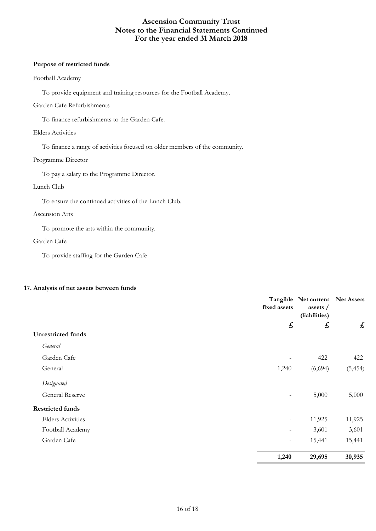#### **Purpose of restricted funds**

### Football Academy

To provide equipment and training resources for the Football Academy.

### Garden Cafe Refurbishments

To finance refurbishments to the Garden Cafe.

### Elders Activities

To finance a range of activities focused on older members of the community.

### Programme Director

To pay a salary to the Programme Director.

### Lunch Club

To ensure the continued activities of the Lunch Club.

### Ascension Arts

To promote the arts within the community.

### Garden Cafe

To provide staffing for the Garden Cafe

### **17. Analysis of net assets between funds**

|                           | fixed assets             | Tangible Net current<br>assets /<br>(liabilities) | <b>Net Assets</b> |
|---------------------------|--------------------------|---------------------------------------------------|-------------------|
|                           | £                        | £                                                 | £                 |
| <b>Unrestricted funds</b> |                          |                                                   |                   |
| General                   |                          |                                                   |                   |
| Garden Cafe               | $\overline{\phantom{a}}$ | 422                                               | 422               |
| General                   | 1,240                    | (6,694)                                           | (5, 454)          |
| Designated                |                          |                                                   |                   |
| <b>General Reserve</b>    | $\overline{\phantom{a}}$ | 5,000                                             | 5,000             |
| <b>Restricted funds</b>   |                          |                                                   |                   |
| <b>Elders Activities</b>  | $\overline{\phantom{a}}$ | 11,925                                            | 11,925            |
| Football Academy          | $\overline{\phantom{a}}$ | 3,601                                             | 3,601             |
| Garden Cafe               | $\overline{\phantom{a}}$ | 15,441                                            | 15,441            |
|                           | 1,240                    | 29,695                                            | 30,935            |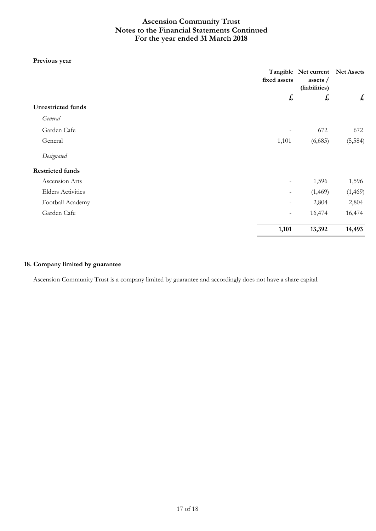### **Previous year**

|                           | fixed assets             | Tangible Net current<br>assets /<br>(liabilities) | <b>Net Assets</b> |
|---------------------------|--------------------------|---------------------------------------------------|-------------------|
|                           | £                        | £                                                 | £                 |
| <b>Unrestricted funds</b> |                          |                                                   |                   |
| General                   |                          |                                                   |                   |
| Garden Cafe               |                          | 672                                               | 672               |
| General                   | 1,101                    | (6,685)                                           | (5, 584)          |
| Designated                |                          |                                                   |                   |
| <b>Restricted funds</b>   |                          |                                                   |                   |
| Ascension Arts            | -                        | 1,596                                             | 1,596             |
| <b>Elders Activities</b>  | Ξ.                       | (1, 469)                                          | (1, 469)          |
| Football Academy          | Ξ.                       | 2,804                                             | 2,804             |
| Garden Cafe               | $\overline{\phantom{a}}$ | 16,474                                            | 16,474            |
|                           | 1,101                    | 13,392                                            | 14,493            |

## **18. Company limited by guarantee**

Ascension Community Trust is a company limited by guarantee and accordingly does not have a share capital.